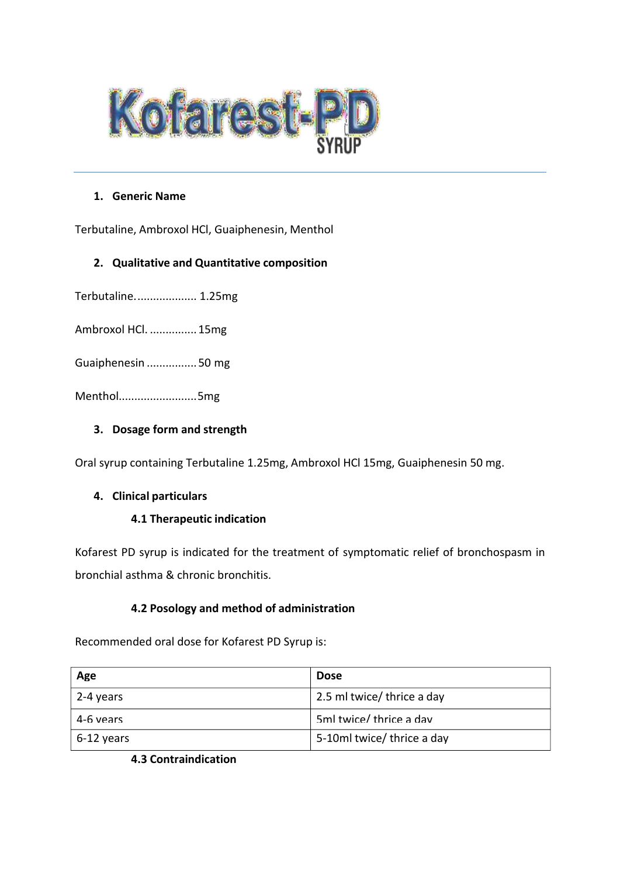

## **1. Generic Name**

Terbutaline, Ambroxol HCl, Guaiphenesin, Menthol

# **2. Qualitative and Quantitative composition**

Terbutaline.................... 1.25mg

Ambroxol HCl. ...............15mg

Guaiphenesin ................50 mg

Menthol.........................5mg

# **3. Dosage form and strength**

Oral syrup containing Terbutaline 1.25mg, Ambroxol HCl 15mg, Guaiphenesin 50 mg.

#### **4. Clinical particulars**

# **4.1 Therapeutic indication**

Kofarest PD syrup is indicated for the treatment of symptomatic relief of bronchospasm in bronchial asthma & chronic bronchitis.

# **4.2 Posology and method of administration**

Recommended oral dose for Kofarest PD Syrup is:

| Age          | <b>Dose</b>                |
|--------------|----------------------------|
| 2-4 years    | 2.5 ml twice/ thrice a day |
| 4-6 vears    | 5ml twice/thrice a day     |
| $6-12$ years | 5-10ml twice/ thrice a day |

**4.3 Contraindication**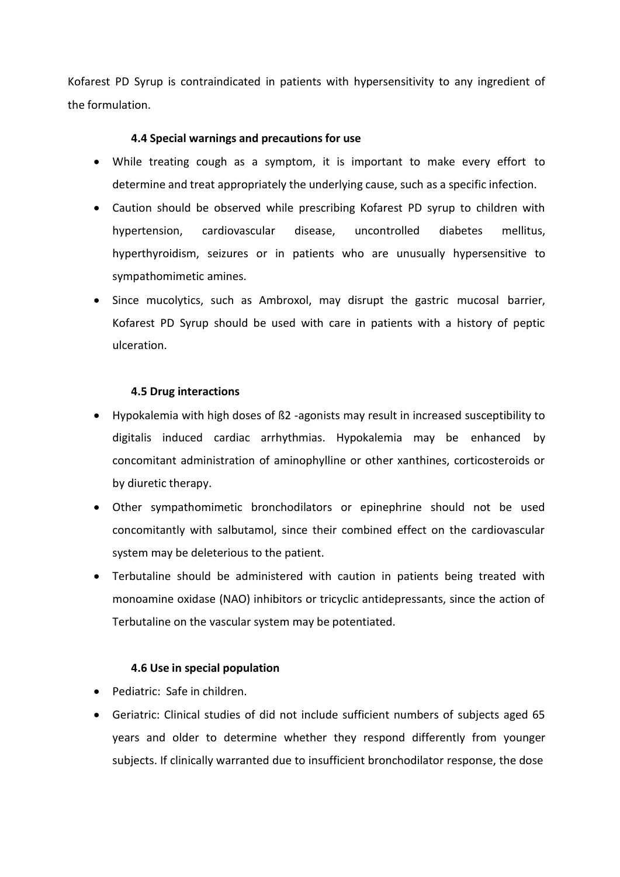Kofarest PD Syrup is contraindicated in patients with hypersensitivity to any ingredient of the formulation.

# **4.4 Special warnings and precautions for use**

- While treating cough as a symptom, it is important to make every effort to determine and treat appropriately the underlying cause, such as a specific infection.
- Caution should be observed while prescribing Kofarest PD syrup to children with hypertension, cardiovascular disease, uncontrolled diabetes mellitus, hyperthyroidism, seizures or in patients who are unusually hypersensitive to sympathomimetic amines.
- Since mucolytics, such as Ambroxol, may disrupt the gastric mucosal barrier, Kofarest PD Syrup should be used with care in patients with a history of peptic ulceration.

## **4.5 Drug interactions**

- Hypokalemia with high doses of ß2 -agonists may result in increased susceptibility to digitalis induced cardiac arrhythmias. Hypokalemia may be enhanced by concomitant administration of aminophylline or other xanthines, corticosteroids or by diuretic therapy.
- Other sympathomimetic bronchodilators or epinephrine should not be used concomitantly with salbutamol, since their combined effect on the cardiovascular system may be deleterious to the patient.
- Terbutaline should be administered with caution in patients being treated with monoamine oxidase (NAO) inhibitors or tricyclic antidepressants, since the action of Terbutaline on the vascular system may be potentiated.

#### **4.6 Use in special population**

- Pediatric: Safe in children.
- Geriatric: Clinical studies of did not include sufficient numbers of subjects aged 65 years and older to determine whether they respond differently from younger subjects. If clinically warranted due to insufficient bronchodilator response, the dose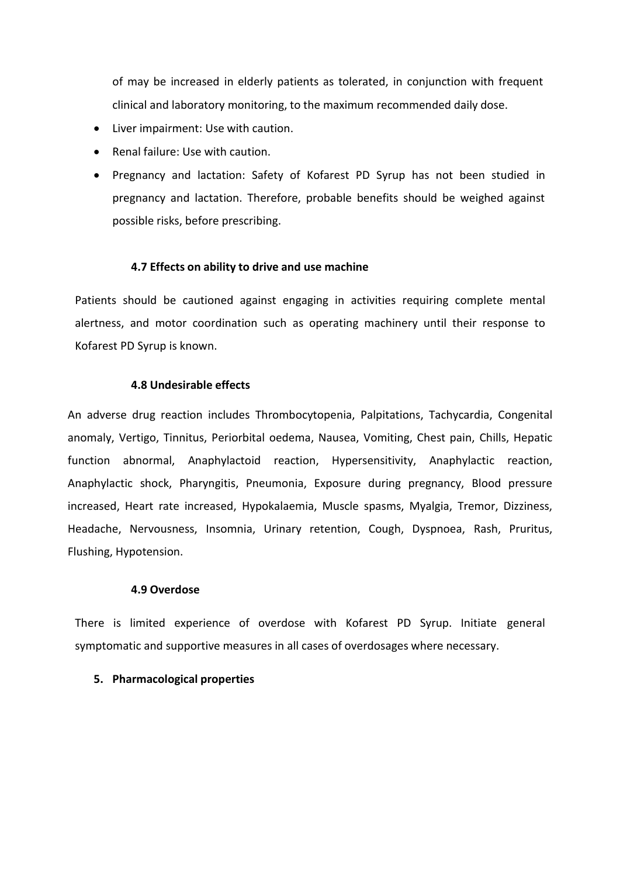of may be increased in elderly patients as tolerated, in conjunction with frequent clinical and laboratory monitoring, to the maximum recommended daily dose.

- Liver impairment: Use with caution.
- Renal failure: Use with caution.
- Pregnancy and lactation: Safety of Kofarest PD Syrup has not been studied in pregnancy and lactation. Therefore, probable benefits should be weighed against possible risks, before prescribing.

#### **4.7 Effects on ability to drive and use machine**

Patients should be cautioned against engaging in activities requiring complete mental alertness, and motor coordination such as operating machinery until their response to Kofarest PD Syrup is known.

#### **4.8 Undesirable effects**

An adverse drug reaction includes Thrombocytopenia, Palpitations, Tachycardia, Congenital anomaly, Vertigo, Tinnitus, Periorbital oedema, Nausea, Vomiting, Chest pain, Chills, Hepatic function abnormal, Anaphylactoid reaction, Hypersensitivity, Anaphylactic reaction, Anaphylactic shock, Pharyngitis, Pneumonia, Exposure during pregnancy, Blood pressure increased, Heart rate increased, Hypokalaemia, Muscle spasms, Myalgia, Tremor, Dizziness, Headache, Nervousness, Insomnia, Urinary retention, Cough, Dyspnoea, Rash, Pruritus, Flushing, Hypotension.

## **4.9 Overdose**

There is limited experience of overdose with Kofarest PD Syrup. Initiate general symptomatic and supportive measures in all cases of overdosages where necessary.

#### **5. Pharmacological properties**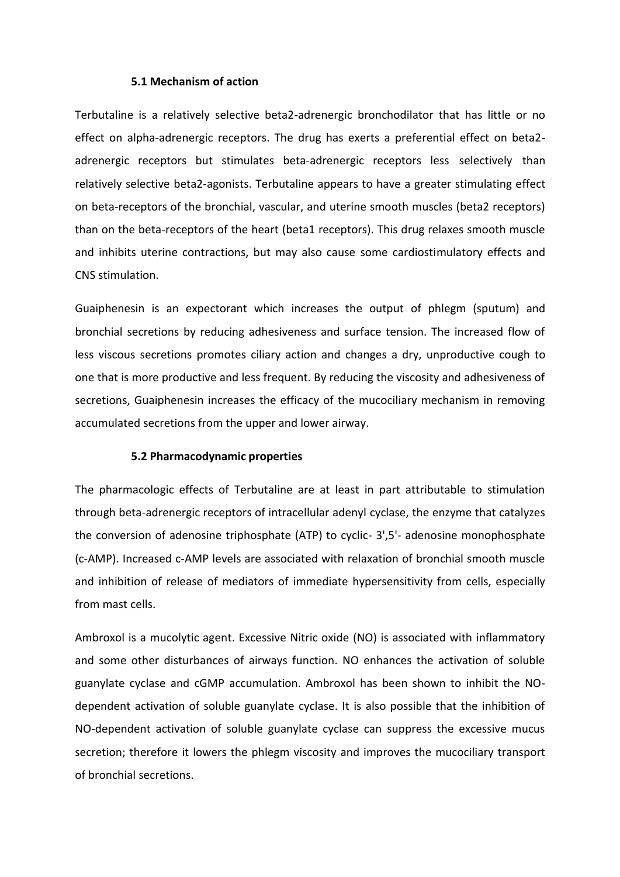#### **5.1 Mechanism of action**

Terbutaline is a relatively selective beta2-adrenergic bronchodilator that has little or no effect on alpha-adrenergic receptors. The drug has exerts a preferential effect on beta2 adrenergic receptors but stimulates beta-adrenergic receptors less selectively than relatively selective beta2-agonists. Terbutaline appears to have a greater stimulating effect on beta-receptors of the bronchial, vascular, and uterine smooth muscles (beta2 receptors) than on the beta-receptors of the heart (beta1 receptors). This drug relaxes smooth muscle and inhibits uterine contractions, but may also cause some cardiostimulatory effects and CNS stimulation.

Guaiphenesin is an expectorant which increases the output of phlegm (sputum) and bronchial secretions by reducing adhesiveness and surface tension. The increased flow of less viscous secretions promotes ciliary action and changes a dry, unproductive cough to one that is more productive and less frequent. By reducing the viscosity and adhesiveness of secretions, Guaiphenesin increases the efficacy of the mucociliary mechanism in removing accumulated secretions from the upper and lower airway.

#### **5.2 Pharmacodynamic properties**

The pharmacologic effects of Terbutaline are at least in part attributable to stimulation through beta-adrenergic receptors of intracellular adenyl cyclase, the enzyme that catalyzes the conversion of adenosine triphosphate (ATP) to cyclic- 3',5'- adenosine monophosphate (c-AMP). Increased c-AMP levels are associated with relaxation of bronchial smooth muscle and inhibition of release of mediators of immediate hypersensitivity from cells, especially from mast cells.

Ambroxol is a mucolytic agent. Excessive Nitric oxide (NO) is associated with inflammatory and some other disturbances of airways function. NO enhances the activation of soluble guanylate cyclase and cGMP accumulation. Ambroxol has been shown to inhibit the NOdependent activation of soluble guanylate cyclase. It is also possible that the inhibition of NO-dependent activation of soluble guanylate cyclase can suppress the excessive mucus secretion; therefore it lowers the phlegm viscosity and improves the mucociliary transport of bronchial secretions.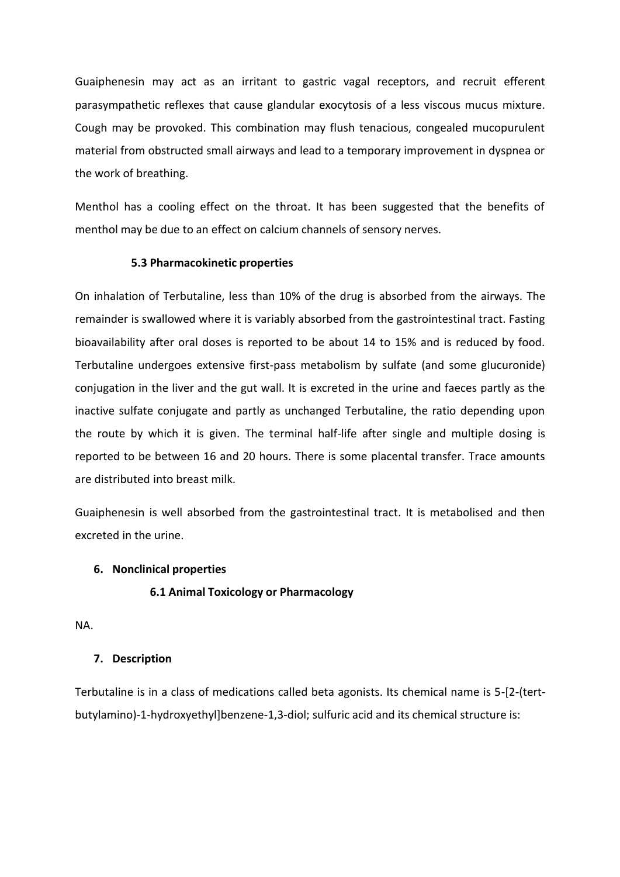Guaiphenesin may act as an irritant to gastric vagal receptors, and recruit efferent parasympathetic reflexes that cause glandular exocytosis of a less viscous mucus mixture. Cough may be provoked. This combination may flush tenacious, congealed mucopurulent material from obstructed small airways and lead to a temporary improvement in dyspnea or the work of breathing.

Menthol has a cooling effect on the throat. It has been suggested that the benefits of menthol may be due to an effect on calcium channels of sensory nerves.

#### **5.3 Pharmacokinetic properties**

On inhalation of Terbutaline, less than 10% of the drug is absorbed from the airways. The remainder is swallowed where it is variably absorbed from the gastrointestinal tract. Fasting bioavailability after oral doses is reported to be about 14 to 15% and is reduced by food. Terbutaline undergoes extensive first-pass metabolism by sulfate (and some glucuronide) conjugation in the liver and the gut wall. It is excreted in the urine and faeces partly as the inactive sulfate conjugate and partly as unchanged Terbutaline, the ratio depending upon the route by which it is given. The terminal half-life after single and multiple dosing is reported to be between 16 and 20 hours. There is some placental transfer. Trace amounts are distributed into breast milk.

Guaiphenesin is well absorbed from the gastrointestinal tract. It is metabolised and then excreted in the urine.

#### **6. Nonclinical properties**

## **6.1 Animal Toxicology or Pharmacology**

NA.

#### **7. Description**

Terbutaline is in a class of medications called beta agonists. Its chemical name is 5-[2-(tertbutylamino)-1-hydroxyethyl]benzene-1,3-diol; sulfuric acid and its chemical structure is: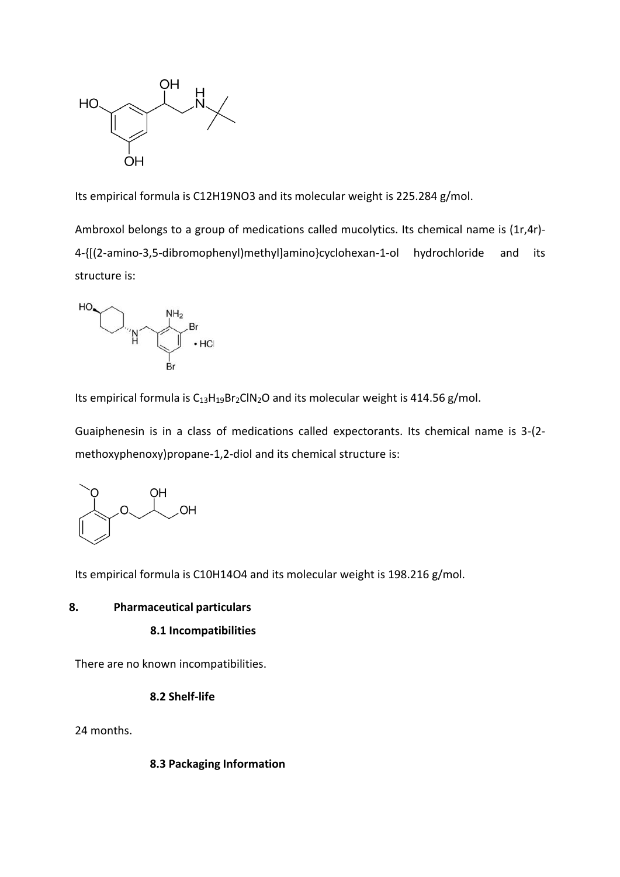

Its empirical formula is C12H19NO3 and its molecular weight is 225.284 g/mol.

Ambroxol belongs to a group of medications called mucolytics. Its chemical name is (1r,4r)-4-{[(2-amino-3,5-dibromophenyl)methyl]amino}cyclohexan-1-ol hydrochloride and its structure is:



Its empirical formula is  $C_{13}H_{19}Br_2CIN_2O$  and its molecular weight is 414.56 g/mol.

Guaiphenesin is in a class of medications called expectorants. Its chemical name is 3-(2 methoxyphenoxy)propane-1,2-diol and its chemical structure is:



Its empirical formula is C10H14O4 and its molecular weight is 198.216 g/mol.

## **8. Pharmaceutical particulars**

#### **8.1 Incompatibilities**

There are no known incompatibilities.

#### **8.2 Shelf-life**

24 months.

#### **8.3 Packaging Information**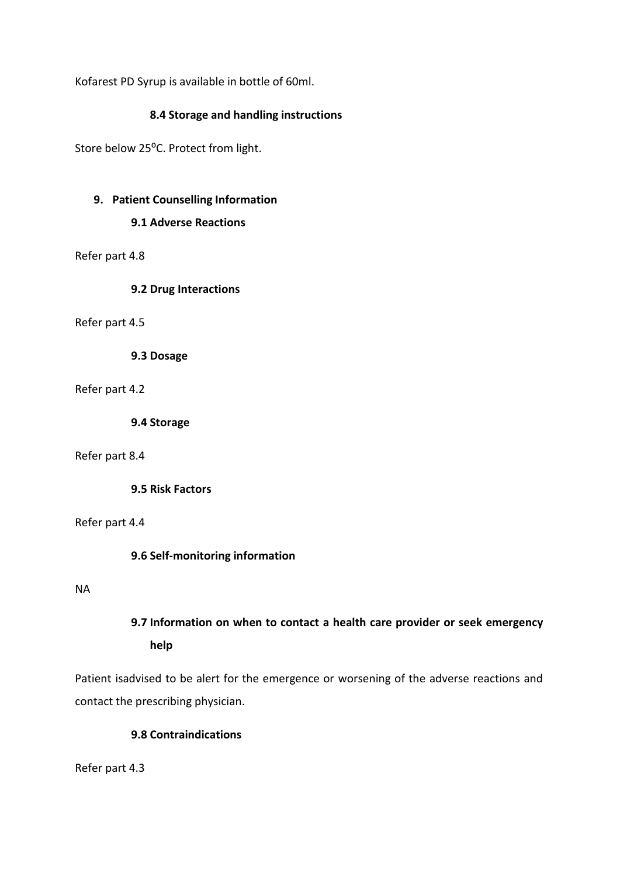Kofarest PD Syrup is available in bottle of 60ml.

# **8.4 Storage and handling instructions**

Store below 25°C. Protect from light.

## **9. Patient Counselling Information**

## **9.1 Adverse Reactions**

Refer part 4.8

## **9.2 Drug Interactions**

#### Refer part 4.5

**9.3 Dosage**

## Refer part 4.2

**9.4 Storage**

## Refer part 8.4

**9.5 Risk Factors**

Refer part 4.4

# **9.6 Self-monitoring information**

#### NA

# **9.7 Information on when to contact a health care provider or seek emergency help**

Patient isadvised to be alert for the emergence or worsening of the adverse reactions and contact the prescribing physician.

# **9.8 Contraindications**

Refer part 4.3